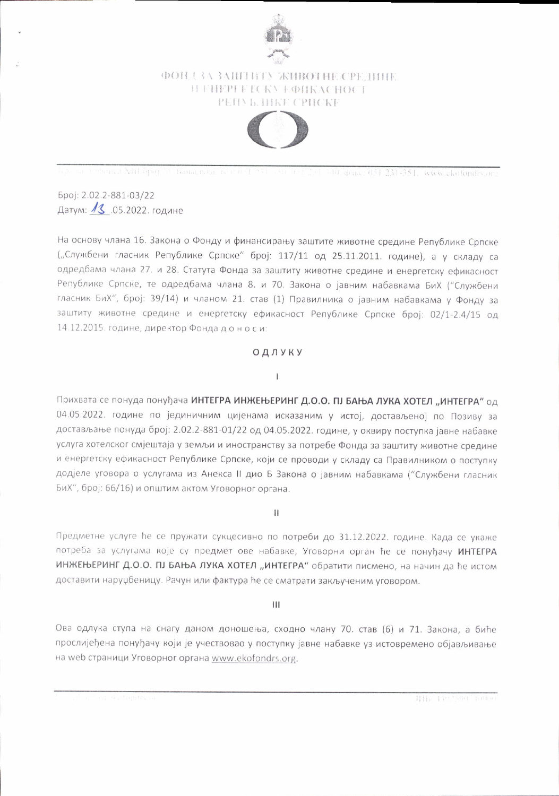

# ФОНД ЗА ЗАШТИТУ ЖИВОТНЕ СРЕДИНЕ H FHEPI FICKY F ФИКАСНОСТ PEID **b. IMKE CPHCKE**



On the Communicated apopt in Bankristica, and the P.S.L. officient 231-341 and grace; 051-231-351, www.ckofondrs.org

Број: 2.02.2-881-03/22 Датум: 13 .05.2022. године

На основу члана 16. Закона о Фонду и финансирању заштите животне средине Републике Српске ("Службени гласник Републике Српске" број: 117/11 од 25.11.2011. године), а у складу са одредбама члана 27. и 28. Статута Фонда за заштиту животне средине и енергетску ефикасност Републике Српске, те одредбама члана 8. и 70. Закона о јавним набавкама БиХ ("Службени гласник БиХ", број: 39/14) и чланом 21. став (1) Правилника о јавним набавкама у Фонду за заштиту животне средине и енергетску ефикасност Републике Српске број: 02/1-2.4/15 од 14.12.2015. године, директор Фонда доноси:

### ОДЛУКУ

### $\mathbf{I}$

Прихвата се понуда понуђача ИНТЕГРА ИНЖЕЊЕРИНГ Д.О.О. ПЈ БАЊА ЛУКА ХОТЕЛ "ИНТЕГРА" од 04.05.2022. године по јединичним цијенама исказаним у истој, достављеној по Позиву за достављање понуда број: 2.02.2-881-01/22 од 04.05.2022. године, у оквиру поступка јавне набавке услуга хотелског смјештаја у земљи и иностранству за потребе Фонда за заштиту животне средине и енергетску ефикасност Републике Српске, који се проводи у складу са Правилником о поступку додјеле уговора о услугама из Анекса II дио Б Закона о јавним набавкама ("Службени гласник БиХ", број: 66/16) и општим актом Уговорног органа.

 $\begin{array}{c} \hline \end{array}$ 

Предметне услуге ће се пружати сукцесивно по потреби до 31.12.2022. године. Када се укаже потреба за услугама које су предмет ове набавке, Уговорни орган ће се понуђачу ИНТЕГРА ИНЖЕЊЕРИНГ Д.О.О. ПЈ БАЊА ЛУКА ХОТЕЛ "ИНТЕГРА" обратити писмено, на начин да ће истом доставити наруџбеницу. Рачун или фактура ће се сматрати закљученим уговором.

#### Ш

Ова одлука ступа на снагу даном доношења, сходно члану 70. став (6) и 71. Закона, а биће прослијеђена понуђачу који је учествовао у поступку јавне набавке уз истовремено објављивање на web страници Уговорног органа www.ekofondrs.org.

IIIi, Lin'SOut haman